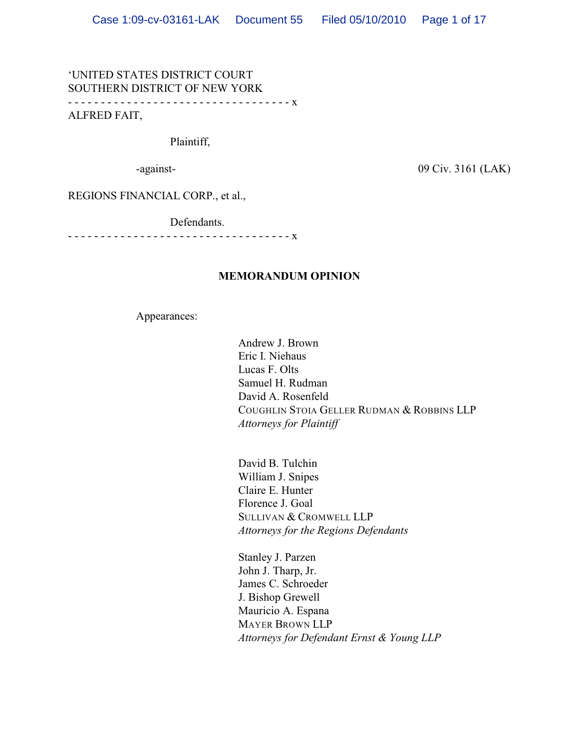# 'UNITED STATES DISTRICT COURT SOUTHERN DISTRICT OF NEW YORK - - - - - - - - - - - - - - - - - - - - - - - - - - - - - - - - - - x

ALFRED FAIT,

Plaintiff,

-against-<br> 09 Civ. 3161 (LAK)

REGIONS FINANCIAL CORP., et al.,

Defendants.

- - - - - - - - - - - - - - - - - - - - - - - - - - - - - - - - - - x

### **MEMORANDUM OPINION**

Appearances:

Andrew J. Brown Eric I. Niehaus Lucas F. Olts Samuel H. Rudman David A. Rosenfeld COUGHLIN STOIA GELLER RUDMAN & ROBBINS LLP *Attorneys for Plaintiff*

David B. Tulchin William J. Snipes Claire E. Hunter Florence J. Goal SULLIVAN & CROMWELL LLP *Attorneys for the Regions Defendants*

Stanley J. Parzen John J. Tharp, Jr. James C. Schroeder J. Bishop Grewell Mauricio A. Espana MAYER BROWN LLP *Attorneys for Defendant Ernst & Young LLP*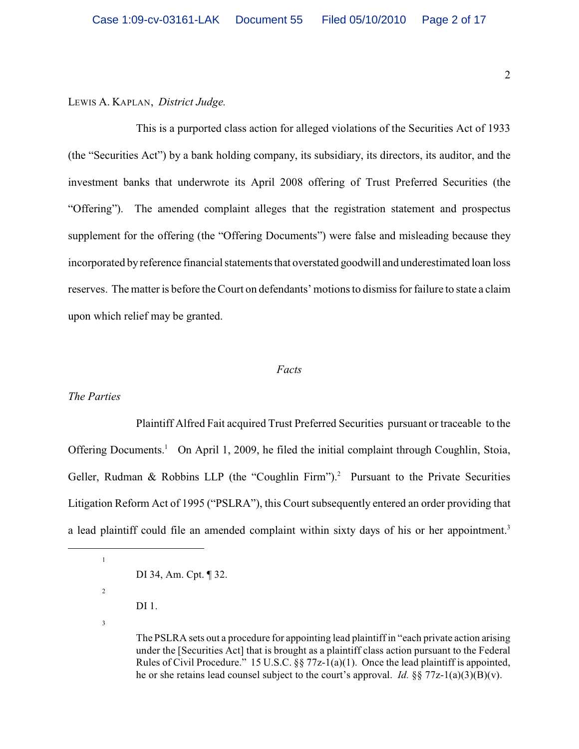LEWIS A. KAPLAN, *District Judge.*

This is a purported class action for alleged violations of the Securities Act of 1933 (the "Securities Act") by a bank holding company, its subsidiary, its directors, its auditor, and the investment banks that underwrote its April 2008 offering of Trust Preferred Securities (the "Offering"). The amended complaint alleges that the registration statement and prospectus supplement for the offering (the "Offering Documents") were false and misleading because they incorporated by reference financial statements that overstated goodwill and underestimated loan loss reserves. The matter is before the Court on defendants' motions to dismiss for failure to state a claim upon which relief may be granted.

#### *Facts*

## *The Parties*

Plaintiff Alfred Fait acquired Trust Preferred Securities pursuant or traceable to the Offering Documents.<sup>1</sup> On April 1, 2009, he filed the initial complaint through Coughlin, Stoia, Geller, Rudman & Robbins LLP (the "Coughlin Firm").<sup>2</sup> Pursuant to the Private Securities Litigation Reform Act of 1995 ("PSLRA"), this Court subsequently entered an order providing that a lead plaintiff could file an amended complaint within sixty days of his or her appointment.<sup>3</sup>

- 
- DI 1.
- 3

1

DI 34, Am. Cpt. ¶ 32.

The PSLRA sets out a procedure for appointing lead plaintiff in "each private action arising under the [Securities Act] that is brought as a plaintiff class action pursuant to the Federal Rules of Civil Procedure." 15 U.S.C. §§ 77z-1(a)(1). Once the lead plaintiff is appointed, he or she retains lead counsel subject to the court's approval. *Id.* §§ 77z-1(a)(3)(B)(v).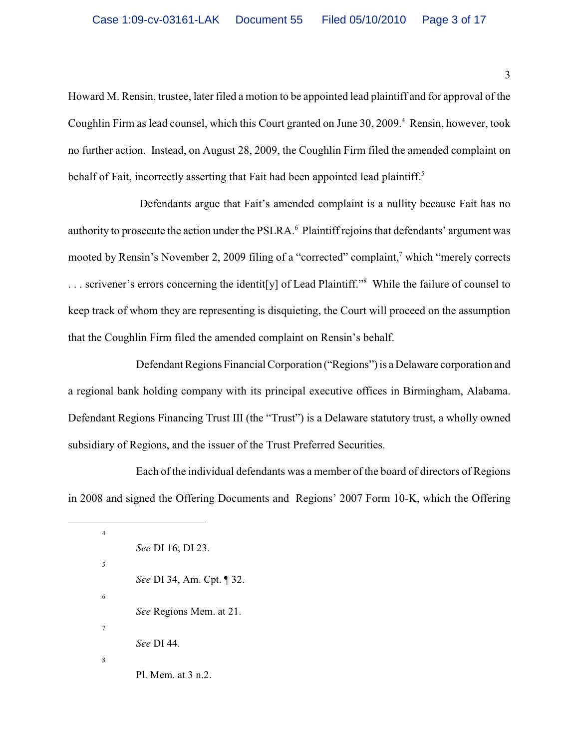Howard M. Rensin, trustee, later filed a motion to be appointed lead plaintiff and for approval of the Coughlin Firm as lead counsel, which this Court granted on June 30, 2009.<sup>4</sup> Rensin, however, took no further action. Instead, on August 28, 2009, the Coughlin Firm filed the amended complaint on behalf of Fait, incorrectly asserting that Fait had been appointed lead plaintiff.<sup>5</sup>

 Defendants argue that Fait's amended complaint is a nullity because Fait has no authority to prosecute the action under the PSLRA.<sup>6</sup> Plaintiff rejoins that defendants' argument was mooted by Rensin's November 2, 2009 filing of a "corrected" complaint, $\alpha$  which "merely corrects" ... scrivener's errors concerning the identit [y] of Lead Plaintiff."<sup>8</sup> While the failure of counsel to keep track of whom they are representing is disquieting, the Court will proceed on the assumption that the Coughlin Firm filed the amended complaint on Rensin's behalf.

Defendant Regions Financial Corporation ("Regions") is a Delaware corporation and a regional bank holding company with its principal executive offices in Birmingham, Alabama. Defendant Regions Financing Trust III (the "Trust") is a Delaware statutory trust, a wholly owned subsidiary of Regions, and the issuer of the Trust Preferred Securities.

Each of the individual defendants was a member of the board of directors of Regions in 2008 and signed the Offering Documents and Regions' 2007 Form 10-K, which the Offering

<sup>4</sup> *See* DI 16; DI 23. 5 *See* DI 34, Am. Cpt. ¶ 32. 6 *See* Regions Mem. at 21. 7 *See* DI 44. 8 Pl. Mem. at 3 n.2.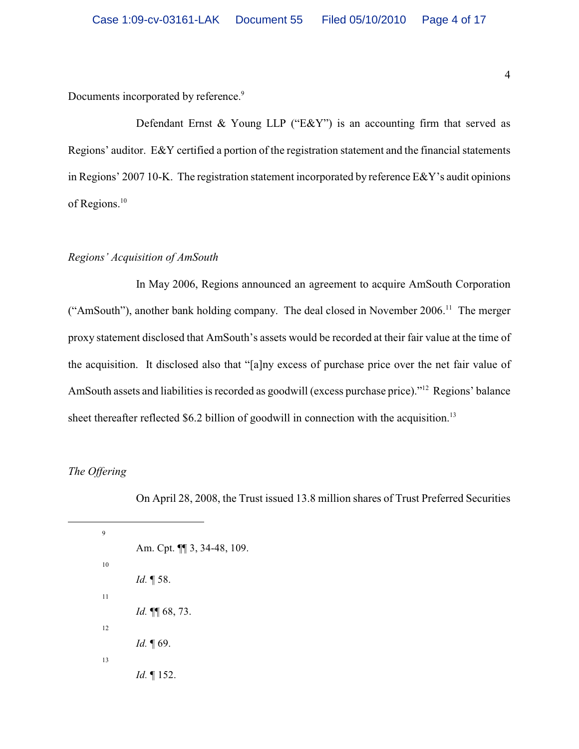Documents incorporated by reference.<sup>9</sup>

Defendant Ernst & Young LLP ("E&Y") is an accounting firm that served as Regions' auditor. E&Y certified a portion of the registration statement and the financial statements in Regions' 2007 10-K. The registration statement incorporated by reference E&Y's audit opinions of Regions.<sup>10</sup>

# *Regions' Acquisition of AmSouth*

In May 2006, Regions announced an agreement to acquire AmSouth Corporation ("AmSouth"), another bank holding company. The deal closed in November 2006.<sup>11</sup> The merger proxy statement disclosed that AmSouth's assets would be recorded at their fair value at the time of the acquisition. It disclosed also that "[a]ny excess of purchase price over the net fair value of AmSouth assets and liabilities is recorded as goodwill (excess purchase price)."<sup>12</sup> Regions' balance sheet thereafter reflected \$6.2 billion of goodwill in connection with the acquisition.<sup>13</sup>

*The Offering*

On April 28, 2008, the Trust issued 13.8 million shares of Trust Preferred Securities

9 Am. Cpt. ¶¶ 3, 34-48, 109. 10 *Id.* ¶ 58. 11 *Id.* ¶¶ 68, 73. 12 *Id.* ¶ 69. 13 *Id.* ¶ 152.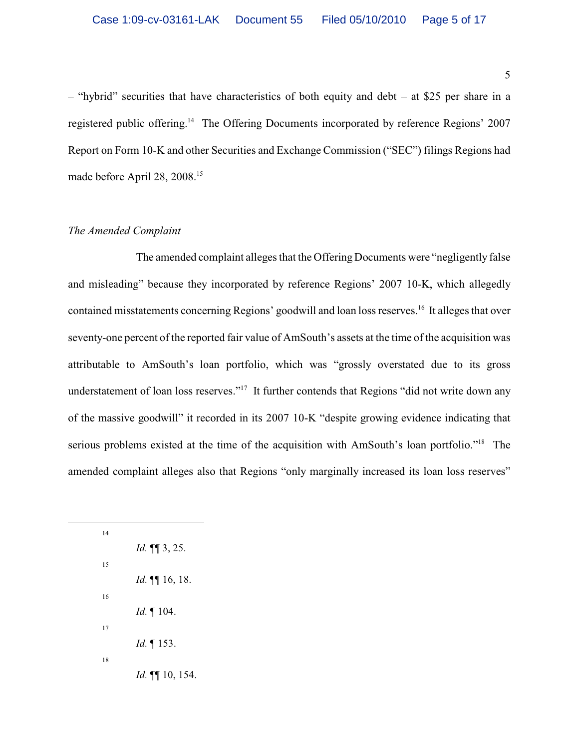– "hybrid" securities that have characteristics of both equity and debt – at \$25 per share in a registered public offering.<sup>14</sup> The Offering Documents incorporated by reference Regions' 2007 Report on Form 10-K and other Securities and Exchange Commission ("SEC") filings Regions had made before April 28, 2008.<sup>15</sup>

# *The Amended Complaint*

The amended complaint alleges that the Offering Documents were "negligently false and misleading" because they incorporated by reference Regions' 2007 10-K, which allegedly contained misstatements concerning Regions' goodwill and loan loss reserves.<sup>16</sup> It alleges that over seventy-one percent of the reported fair value of AmSouth's assets at the time of the acquisition was attributable to AmSouth's loan portfolio, which was "grossly overstated due to its gross understatement of loan loss reserves."<sup>17</sup> It further contends that Regions "did not write down any of the massive goodwill" it recorded in its 2007 10-K "despite growing evidence indicating that serious problems existed at the time of the acquisition with AmSouth's loan portfolio."<sup>18</sup> The amended complaint alleges also that Regions "only marginally increased its loan loss reserves"

| 14 |                             |
|----|-----------------------------|
|    | <i>Id.</i> <b>11</b> 3, 25. |
| 15 |                             |
|    | <i>Id.</i> $\P\P$ 16, 18.   |
| 16 |                             |
|    | <i>Id.</i> $\P$ 104.        |
| 17 |                             |
|    | <i>Id.</i> $\P$ 153.        |
| 18 |                             |
|    | <i>Id.</i> $\P\P$ 10, 154.  |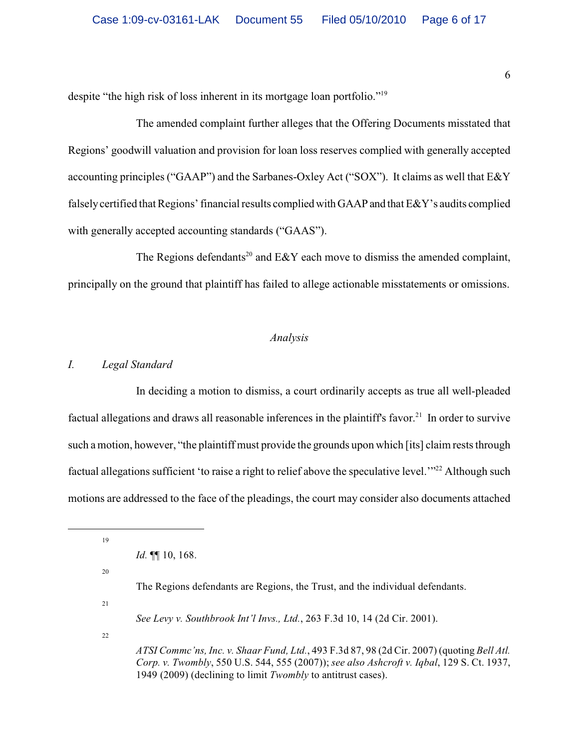despite "the high risk of loss inherent in its mortgage loan portfolio."<sup>19</sup>

The amended complaint further alleges that the Offering Documents misstated that Regions' goodwill valuation and provision for loan loss reserves complied with generally accepted accounting principles ("GAAP") and the Sarbanes-Oxley Act ("SOX"). It claims as well that E&Y falsely certified that Regions' financial results complied with GAAP and that E&Y's audits complied with generally accepted accounting standards ("GAAS").

The Regions defendants<sup>20</sup> and E&Y each move to dismiss the amended complaint, principally on the ground that plaintiff has failed to allege actionable misstatements or omissions.

# *Analysis*

### *I. Legal Standard*

In deciding a motion to dismiss, a court ordinarily accepts as true all well-pleaded factual allegations and draws all reasonable inferences in the plaintiff's favor.<sup>21</sup> In order to survive such a motion, however, "the plaintiff must provide the grounds upon which [its] claim rests through factual allegations sufficient 'to raise a right to relief above the speculative level."<sup>22</sup> Although such motions are addressed to the face of the pleadings, the court may consider also documents attached

19

20

21

22

*ATSI Commc'ns, Inc. v. Shaar Fund, Ltd.*, 493 F.3d 87, 98 (2d Cir. 2007) (quoting *Bell Atl. Corp. v. Twombly*, 550 U.S. 544, 555 (2007)); *see also Ashcroft v. Iqbal*, 129 S. Ct. 1937, 1949 (2009) (declining to limit *Twombly* to antitrust cases).

*Id.* ¶¶ 10, 168.

The Regions defendants are Regions, the Trust, and the individual defendants.

*See Levy v. Southbrook Int'l Invs., Ltd.*, 263 F.3d 10, 14 (2d Cir. 2001).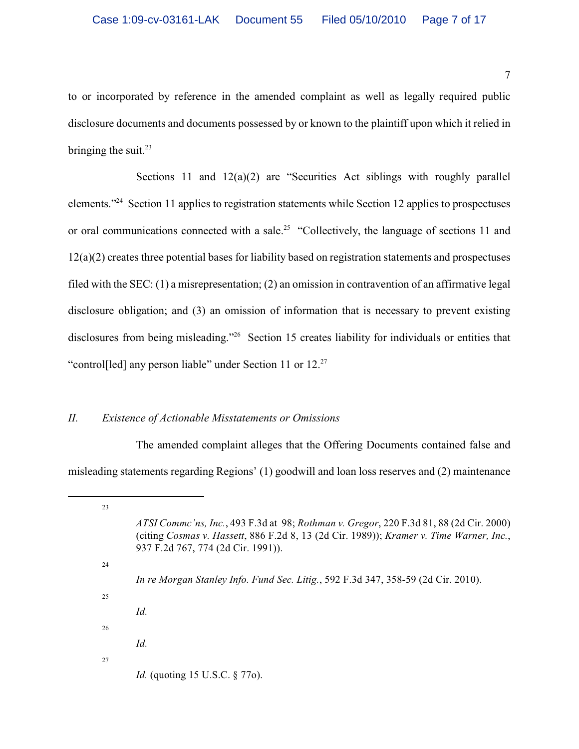to or incorporated by reference in the amended complaint as well as legally required public disclosure documents and documents possessed by or known to the plaintiff upon which it relied in bringing the suit. $^{23}$ 

Sections 11 and  $12(a)(2)$  are "Securities Act siblings with roughly parallel elements."<sup>24</sup> Section 11 applies to registration statements while Section 12 applies to prospectuses or oral communications connected with a sale.<sup>25</sup> "Collectively, the language of sections 11 and  $12(a)(2)$  creates three potential bases for liability based on registration statements and prospectuses filed with the SEC: (1) a misrepresentation; (2) an omission in contravention of an affirmative legal disclosure obligation; and (3) an omission of information that is necessary to prevent existing disclosures from being misleading."<sup>26</sup> Section 15 creates liability for individuals or entities that "control<sup>[led]</sup> any person liable" under Section 11 or 12.<sup>27</sup>

# *II. Existence of Actionable Misstatements or Omissions*

The amended complaint alleges that the Offering Documents contained false and misleading statements regarding Regions' (1) goodwill and loan loss reserves and (2) maintenance

<sup>23</sup> *ATSI Commc'ns, Inc.*, 493 F.3d at 98; *Rothman v. Gregor*, 220 F.3d 81, 88 (2d Cir. 2000) (citing *Cosmas v. Hassett*, 886 F.2d 8, 13 (2d Cir. 1989)); *Kramer v. Time Warner, Inc.*, 937 F.2d 767, 774 (2d Cir. 1991)). 24 *In re Morgan Stanley Info. Fund Sec. Litig.*, 592 F.3d 347, 358-59 (2d Cir. 2010). 25 *Id.* 26 *Id.* 27 *Id.* (quoting 15 U.S.C. § 770).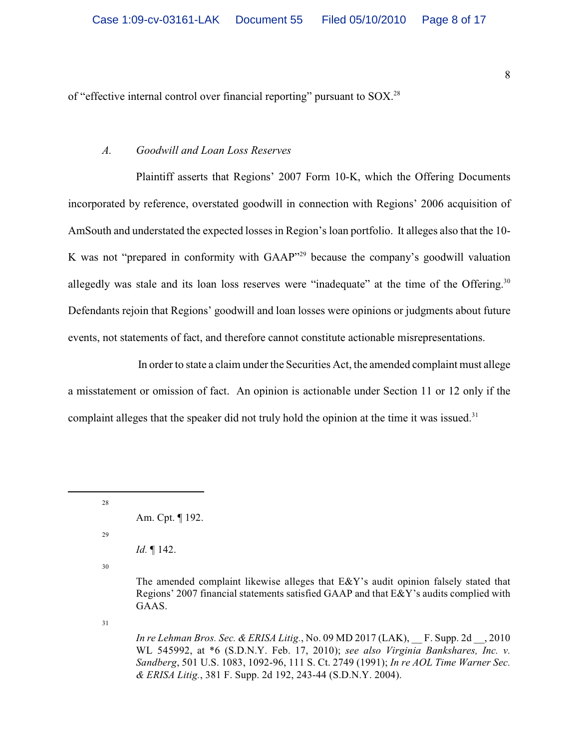of "effective internal control over financial reporting" pursuant to SOX.<sup>28</sup>

### *A. Goodwill and Loan Loss Reserves*

Plaintiff asserts that Regions' 2007 Form 10-K, which the Offering Documents incorporated by reference, overstated goodwill in connection with Regions' 2006 acquisition of AmSouth and understated the expected losses in Region's loan portfolio. It alleges also that the 10- K was not "prepared in conformity with  $GAAP^{329}$  because the company's goodwill valuation allegedly was stale and its loan loss reserves were "inadequate" at the time of the Offering.<sup>30</sup> Defendants rejoin that Regions' goodwill and loan losses were opinions or judgments about future events, not statements of fact, and therefore cannot constitute actionable misrepresentations.

 In order to state a claim under the Securities Act, the amended complaint must allege a misstatement or omission of fact. An opinion is actionable under Section 11 or 12 only if the complaint alleges that the speaker did not truly hold the opinion at the time it was issued. $31$ 

28

29

*Id.* ¶ 142.

30

The amended complaint likewise alleges that  $E\&Y$ 's audit opinion falsely stated that Regions' 2007 financial statements satisfied GAAP and that E&Y's audits complied with GAAS.

31

*In re Lehman Bros. Sec. & ERISA Litig.*, No. 09 MD 2017 (LAK), \_\_ F. Supp. 2d \_\_, 2010 WL 545992, at \*6 (S.D.N.Y. Feb. 17, 2010); *see also Virginia Bankshares, Inc. v. Sandberg*, 501 U.S. 1083, 1092-96, 111 S. Ct. 2749 (1991); *In re AOL Time Warner Sec. & ERISA Litig.*, 381 F. Supp. 2d 192, 243-44 (S.D.N.Y. 2004).

Am. Cpt. ¶ 192.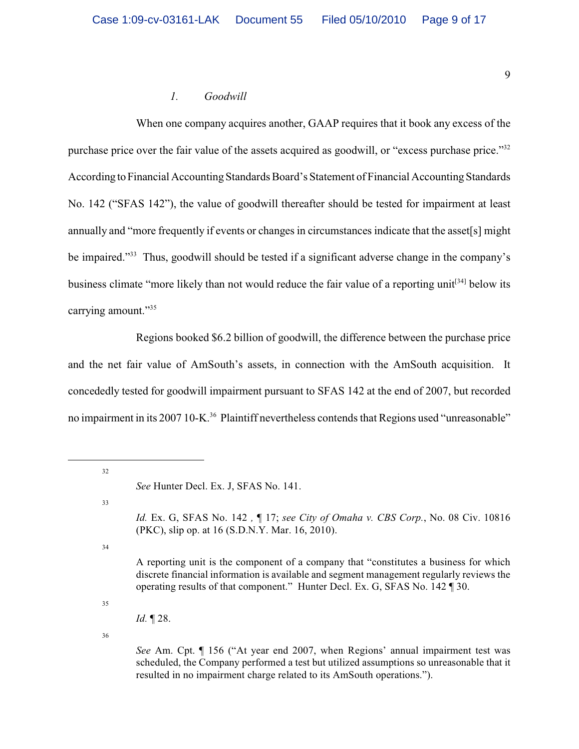# *1. Goodwill*

When one company acquires another, GAAP requires that it book any excess of the purchase price over the fair value of the assets acquired as goodwill, or "excess purchase price."<sup>32</sup> According to Financial Accounting Standards Board's Statement of Financial Accounting Standards No. 142 ("SFAS 142"), the value of goodwill thereafter should be tested for impairment at least annually and "more frequently if events or changes in circumstances indicate that the asset[s] might be impaired."<sup>33</sup> Thus, goodwill should be tested if a significant adverse change in the company's business climate "more likely than not would reduce the fair value of a reporting unit<sup>[34]</sup> below its carrying amount."<sup>35</sup>

Regions booked \$6.2 billion of goodwill, the difference between the purchase price and the net fair value of AmSouth's assets, in connection with the AmSouth acquisition. It concededly tested for goodwill impairment pursuant to SFAS 142 at the end of 2007, but recorded no impairment in its 2007 10-K.<sup>36</sup> Plaintiff nevertheless contends that Regions used "unreasonable"

32

33

34

35

36

*See* Am. Cpt. ¶ 156 ("At year end 2007, when Regions' annual impairment test was scheduled, the Company performed a test but utilized assumptions so unreasonable that it resulted in no impairment charge related to its AmSouth operations.").

*See* Hunter Decl. Ex. J, SFAS No. 141.

*Id.* Ex. G, SFAS No. 142 *,* ¶ 17; *see City of Omaha v. CBS Corp.*, No. 08 Civ. 10816 (PKC), slip op. at 16 (S.D.N.Y. Mar. 16, 2010).

A reporting unit is the component of a company that "constitutes a business for which discrete financial information is available and segment management regularly reviews the operating results of that component." Hunter Decl. Ex. G, SFAS No. 142 ¶ 30.

*Id.* ¶ 28.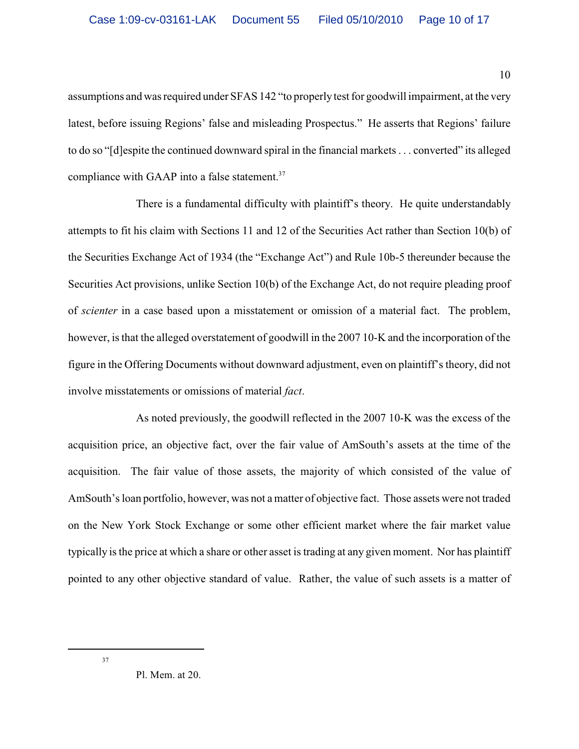assumptions and was required under SFAS 142 "to properly test for goodwill impairment, at the very latest, before issuing Regions' false and misleading Prospectus." He asserts that Regions' failure to do so "[d]espite the continued downward spiral in the financial markets . . . converted" its alleged compliance with GAAP into a false statement.<sup>37</sup>

There is a fundamental difficulty with plaintiff's theory. He quite understandably attempts to fit his claim with Sections 11 and 12 of the Securities Act rather than Section 10(b) of the Securities Exchange Act of 1934 (the "Exchange Act") and Rule 10b-5 thereunder because the Securities Act provisions, unlike Section 10(b) of the Exchange Act, do not require pleading proof of *scienter* in a case based upon a misstatement or omission of a material fact. The problem, however, is that the alleged overstatement of goodwill in the 2007 10-K and the incorporation of the figure in the Offering Documents without downward adjustment, even on plaintiff's theory, did not involve misstatements or omissions of material *fact*.

As noted previously, the goodwill reflected in the 2007 10-K was the excess of the acquisition price, an objective fact, over the fair value of AmSouth's assets at the time of the acquisition. The fair value of those assets, the majority of which consisted of the value of AmSouth's loan portfolio, however, was not a matter of objective fact. Those assets were not traded on the New York Stock Exchange or some other efficient market where the fair market value typically is the price at which a share or other asset is trading at any given moment. Nor has plaintiff pointed to any other objective standard of value. Rather, the value of such assets is a matter of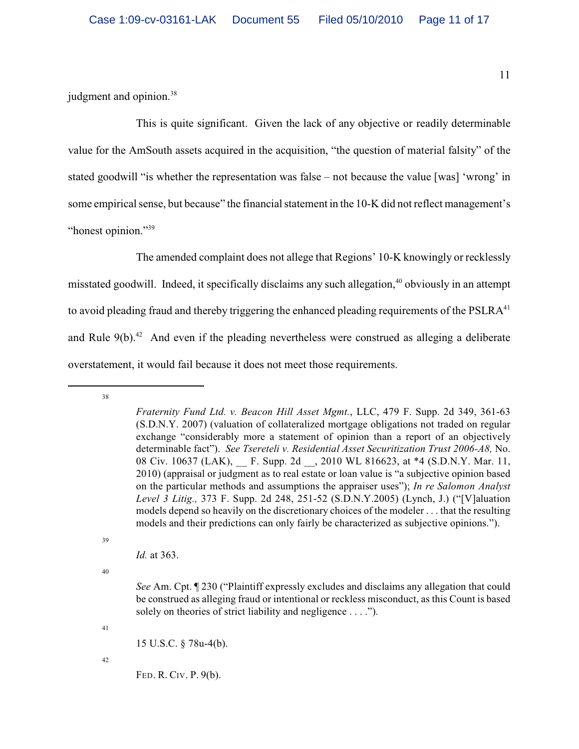judgment and opinion.<sup>38</sup>

This is quite significant. Given the lack of any objective or readily determinable value for the AmSouth assets acquired in the acquisition, "the question of material falsity" of the stated goodwill "is whether the representation was false – not because the value [was] 'wrong' in some empirical sense, but because" the financial statement in the 10-K did not reflect management's "honest opinion."<sup>39</sup>

The amended complaint does not allege that Regions' 10-K knowingly or recklessly misstated goodwill. Indeed, it specifically disclaims any such allegation,  $40$  obviously in an attempt to avoid pleading fraud and thereby triggering the enhanced pleading requirements of the PSLRA<sup>41</sup> and Rule  $9(b)$ .<sup>42</sup> And even if the pleading nevertheless were construed as alleging a deliberate overstatement, it would fail because it does not meet those requirements.

39

*Id.* at 363.

40

*See* Am. Cpt. ¶ 230 ("Plaintiff expressly excludes and disclaims any allegation that could be construed as alleging fraud or intentional or reckless misconduct, as this Count is based solely on theories of strict liability and negligence . . . .").

41

15 U.S.C. § 78u-4(b).

42

FED. R. CIV. P. 9(b).

<sup>38</sup>

*Fraternity Fund Ltd. v. Beacon Hill Asset Mgmt.*, LLC, 479 F. Supp. 2d 349, 361-63 (S.D.N.Y. 2007) (valuation of collateralized mortgage obligations not traded on regular exchange "considerably more a statement of opinion than a report of an objectively determinable fact"). *See Tsereteli v. Residential Asset Securitization Trust 2006-A8,* No. 08 Civ. 10637 (LAK), F. Supp. 2d , 2010 WL 816623, at \*4 (S.D.N.Y. Mar. 11, 2010) (appraisal or judgment as to real estate or loan value is "a subjective opinion based on the particular methods and assumptions the appraiser uses"); *In re Salomon Analyst Level 3 Litig.,* 373 F. Supp. 2d 248, 251-52 (S.D.N.Y.2005) (Lynch, J.) ("[V]aluation models depend so heavily on the discretionary choices of the modeler . . . that the resulting models and their predictions can only fairly be characterized as subjective opinions.").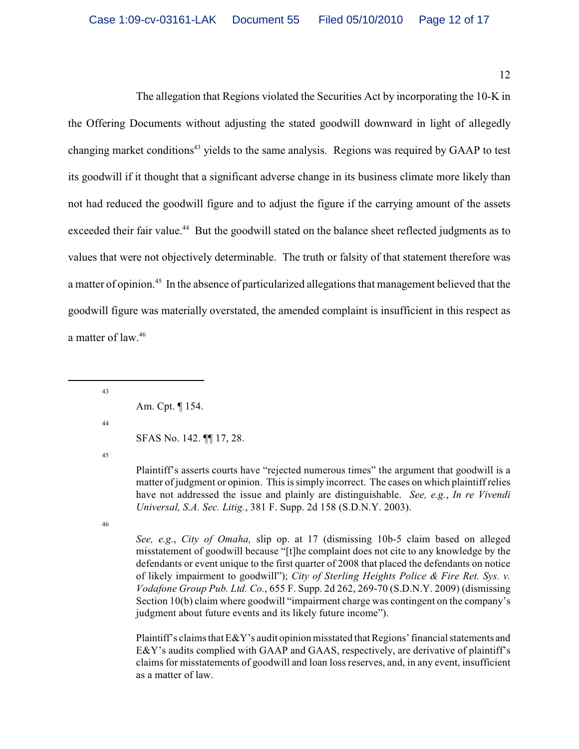12

The allegation that Regions violated the Securities Act by incorporating the 10-K in the Offering Documents without adjusting the stated goodwill downward in light of allegedly changing market conditions<sup>43</sup> yields to the same analysis. Regions was required by GAAP to test its goodwill if it thought that a significant adverse change in its business climate more likely than not had reduced the goodwill figure and to adjust the figure if the carrying amount of the assets exceeded their fair value.<sup>44</sup> But the goodwill stated on the balance sheet reflected judgments as to values that were not objectively determinable. The truth or falsity of that statement therefore was a matter of opinion.<sup>45</sup> In the absence of particularized allegations that management believed that the goodwill figure was materially overstated, the amended complaint is insufficient in this respect as a matter of law.<sup>46</sup>

43

Am. Cpt. ¶ 154.

44

SFAS No. 142. ¶¶ 17, 28.

45

Plaintiff's asserts courts have "rejected numerous times" the argument that goodwill is a matter of judgment or opinion. This is simply incorrect. The cases on which plaintiff relies have not addressed the issue and plainly are distinguishable. *See, e.g.*, *In re Vivendi Universal, S.A. Sec. Litig.*, 381 F. Supp. 2d 158 (S.D.N.Y. 2003).

46

*See, e.g.*, *City of Omaha,* slip op. at 17 (dismissing 10b-5 claim based on alleged misstatement of goodwill because "[t]he complaint does not cite to any knowledge by the defendants or event unique to the first quarter of 2008 that placed the defendants on notice of likely impairment to goodwill"); *City of Sterling Heights Police & Fire Ret. Sys. v. Vodafone Group Pub. Ltd. Co.*, 655 F. Supp. 2d 262, 269-70 (S.D.N.Y. 2009) (dismissing Section 10(b) claim where goodwill "impairment charge was contingent on the company's judgment about future events and its likely future income").

Plaintiff's claims that E&Y's audit opinion misstated that Regions' financial statements and E&Y's audits complied with GAAP and GAAS, respectively, are derivative of plaintiff's claims for misstatements of goodwill and loan loss reserves, and, in any event, insufficient as a matter of law.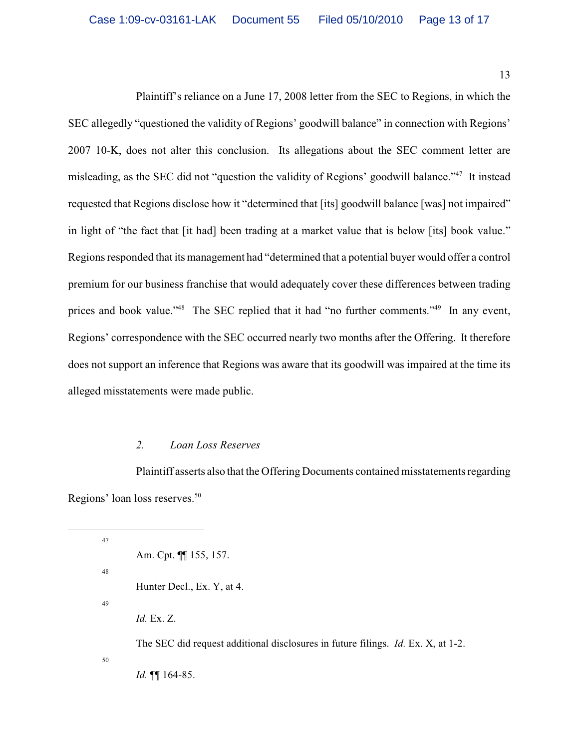13

Plaintiff's reliance on a June 17, 2008 letter from the SEC to Regions, in which the SEC allegedly "questioned the validity of Regions' goodwill balance" in connection with Regions' 2007 10-K, does not alter this conclusion. Its allegations about the SEC comment letter are misleading, as the SEC did not "question the validity of Regions' goodwill balance."<sup>47</sup> It instead requested that Regions disclose how it "determined that [its] goodwill balance [was] not impaired" in light of "the fact that [it had] been trading at a market value that is below [its] book value." Regions responded that its management had "determined that a potential buyer would offer a control premium for our business franchise that would adequately cover these differences between trading prices and book value."<sup>48</sup> The SEC replied that it had "no further comments."<sup>49</sup> In any event, Regions' correspondence with the SEC occurred nearly two months after the Offering. It therefore does not support an inference that Regions was aware that its goodwill was impaired at the time its alleged misstatements were made public.

#### *2. Loan Loss Reserves*

Plaintiff asserts also that the Offering Documents contained misstatements regarding Regions' loan loss reserves.<sup>50</sup>

47 Am. Cpt. ¶¶ 155, 157. 48 Hunter Decl., Ex. Y, at 4. 49 *Id.* Ex. Z. The SEC did request additional disclosures in future filings. *Id.* Ex. X, at 1-2. 50 *Id.* ¶¶ 164-85.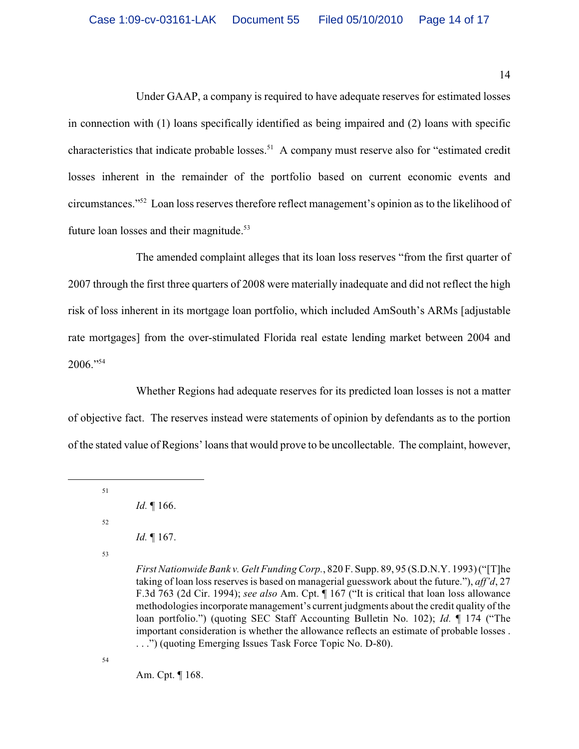14

Under GAAP, a company is required to have adequate reserves for estimated losses in connection with (1) loans specifically identified as being impaired and (2) loans with specific characteristics that indicate probable losses.<sup>51</sup> A company must reserve also for "estimated credit" losses inherent in the remainder of the portfolio based on current economic events and circumstances."<sup>52</sup> Loan loss reserves therefore reflect management's opinion as to the likelihood of future loan losses and their magnitude.<sup>53</sup>

The amended complaint alleges that its loan loss reserves "from the first quarter of 2007 through the first three quarters of 2008 were materially inadequate and did not reflect the high risk of loss inherent in its mortgage loan portfolio, which included AmSouth's ARMs [adjustable rate mortgages] from the over-stimulated Florida real estate lending market between 2004 and  $2006."$ <sup>54</sup>

Whether Regions had adequate reserves for its predicted loan losses is not a matter of objective fact. The reserves instead were statements of opinion by defendants as to the portion of the stated value of Regions' loans that would prove to be uncollectable. The complaint, however,

51

52

53

54

Am. Cpt. ¶ 168.

*Id.* ¶ 166.

*Id.* ¶ 167.

*First Nationwide Bank v. Gelt Funding Corp.*, 820 F. Supp. 89, 95 (S.D.N.Y. 1993) ("[T]he taking of loan loss reserves is based on managerial guesswork about the future."), *aff'd*, 27 F.3d 763 (2d Cir. 1994); *see also* Am. Cpt. ¶ 167 ("It is critical that loan loss allowance methodologies incorporate management's current judgments about the credit quality of the loan portfolio.") (quoting SEC Staff Accounting Bulletin No. 102); *Id.* ¶ 174 ("The important consideration is whether the allowance reflects an estimate of probable losses . . . .") (quoting Emerging Issues Task Force Topic No. D-80).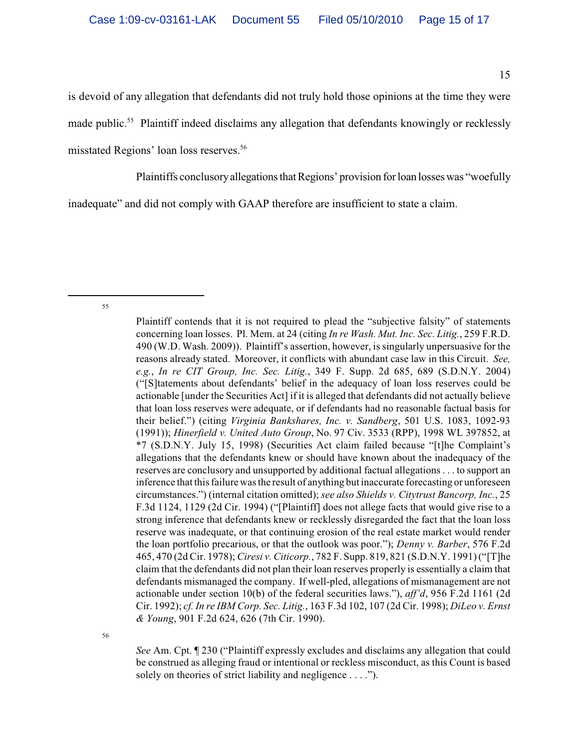is devoid of any allegation that defendants did not truly hold those opinions at the time they were made public.<sup>55</sup> Plaintiff indeed disclaims any allegation that defendants knowingly or recklessly misstated Regions' loan loss reserves. 56

Plaintiffs conclusory allegations that Regions' provision for loan losses was "woefully

inadequate" and did not comply with GAAP therefore are insufficient to state a claim.

55

*See* Am. Cpt. ¶ 230 ("Plaintiff expressly excludes and disclaims any allegation that could be construed as alleging fraud or intentional or reckless misconduct, as this Count is based solely on theories of strict liability and negligence . . . .").

Plaintiff contends that it is not required to plead the "subjective falsity" of statements concerning loan losses. Pl. Mem. at 24 (citing *In re Wash. Mut. Inc. Sec. Litig.*, 259 F.R.D. 490 (W.D. Wash. 2009)). Plaintiff's assertion, however, is singularly unpersuasive for the reasons already stated. Moreover, it conflicts with abundant case law in this Circuit. *See, e.g.*, *In re CIT Group, Inc. Sec. Litig.*, 349 F. Supp. 2d 685, 689 (S.D.N.Y. 2004) ("[S]tatements about defendants' belief in the adequacy of loan loss reserves could be actionable [under the Securities Act] if it is alleged that defendants did not actually believe that loan loss reserves were adequate, or if defendants had no reasonable factual basis for their belief.") (citing *Virginia Bankshares, Inc. v. Sandberg*, 501 U.S. 1083, 1092-93 (1991)); *Hinerfield v. United Auto Group*, No. 97 Civ. 3533 (RPP), 1998 WL 397852, at \*7 (S.D.N.Y. July 15, 1998) (Securities Act claim failed because "[t]he Complaint's allegations that the defendants knew or should have known about the inadequacy of the reserves are conclusory and unsupported by additional factual allegations . . . to support an inference that this failure was the result of anything but inaccurate forecasting or unforeseen circumstances.") (internal citation omitted); *see also Shields v. Citytrust Bancorp, Inc.*, 25 F.3d 1124, 1129 (2d Cir. 1994) ("[Plaintiff] does not allege facts that would give rise to a strong inference that defendants knew or recklessly disregarded the fact that the loan loss reserve was inadequate, or that continuing erosion of the real estate market would render the loan portfolio precarious, or that the outlook was poor."); *Denny v. Barber*, 576 F.2d 465, 470 (2d Cir. 1978); *Ciresi v. Citicorp.*, 782 F. Supp. 819, 821 (S.D.N.Y. 1991) ("[T]he claim that the defendants did not plan their loan reserves properly is essentially a claim that defendants mismanaged the company. If well-pled, allegations of mismanagement are not actionable under section 10(b) of the federal securities laws."), *aff'd*, 956 F.2d 1161 (2d Cir. 1992); *cf. In re IBM Corp. Sec. Litig.*, 163 F.3d 102, 107 (2d Cir. 1998); *DiLeo v. Ernst & Young*, 901 F.2d 624, 626 (7th Cir. 1990).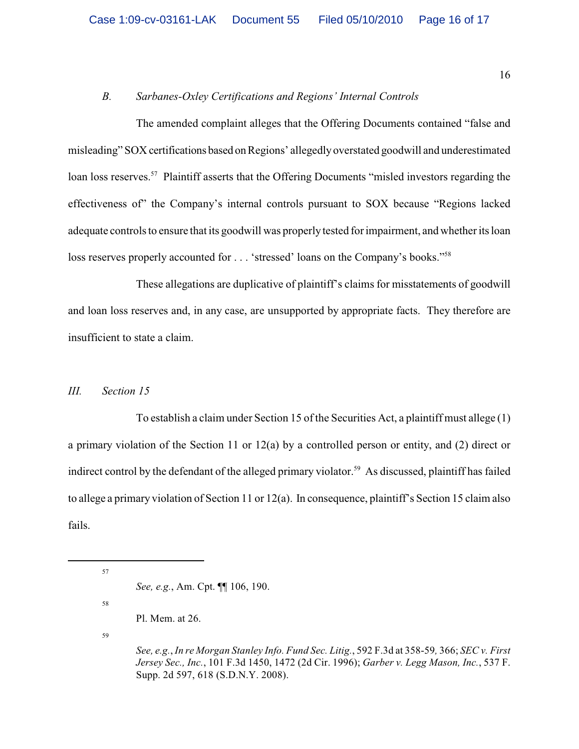# *B. Sarbanes-Oxley Certifications and Regions' Internal Controls*

The amended complaint alleges that the Offering Documents contained "false and misleading" SOX certifications based on Regions' allegedly overstated goodwill and underestimated loan loss reserves.<sup>57</sup> Plaintiff asserts that the Offering Documents "misled investors regarding the effectiveness of" the Company's internal controls pursuant to SOX because "Regions lacked adequate controls to ensure that its goodwill was properly tested for impairment, and whether its loan loss reserves properly accounted for . . . 'stressed' loans on the Company's books."<sup>58</sup>

These allegations are duplicative of plaintiff's claims for misstatements of goodwill and loan loss reserves and, in any case, are unsupported by appropriate facts. They therefore are insufficient to state a claim.

# *III. Section 15*

To establish a claim under Section 15 of the Securities Act, a plaintiff must allege (1) a primary violation of the Section 11 or 12(a) by a controlled person or entity, and (2) direct or indirect control by the defendant of the alleged primary violator.<sup>59</sup> As discussed, plaintiff has failed to allege a primary violation of Section 11 or 12(a). In consequence, plaintiff's Section 15 claim also fails.

57

58

*See, e.g.*, Am. Cpt. ¶¶ 106, 190.

Pl. Mem. at 26.

*See, e.g.*, *In re Morgan Stanley Info. Fund Sec. Litig.*, 592 F.3d at 358-59*,* 366; *SEC v. First Jersey Sec., Inc.*, 101 F.3d 1450, 1472 (2d Cir. 1996); *Garber v. Legg Mason, Inc.*, 537 F. Supp. 2d 597, 618 (S.D.N.Y. 2008).